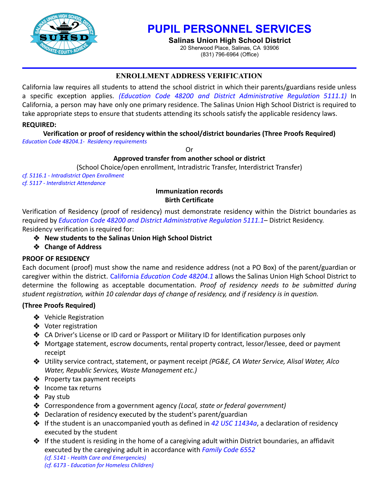

# **PUPIL PERSONNEL SERVICES**

**Salinas Union High School District** 20 Sherwood Place, Salinas, CA 93906

(831) 796-6964 (Office)

# **ENROLLMENT ADDRESS VERIFICATION**

California law requires all students to attend the school district in which their parents/guardians reside unless a specific exception applies. *(Education Code 48200 and District Administrative Regulation 5111.1)* In California, a person may have only one primary residence. The Salinas Union High School District is required to take appropriate steps to ensure that students attending its schools satisfy the applicable residency laws.

# **REQUIRED:**

**Verification or proof of residency within the school/district boundaries (Three Proofs Required)**

*Education Code 48204.1- Residency requirements*

Or

# **Approved transfer from another school or district**

(School Choice/open enrollment, Intradistric Transfer, Interdistrict Transfer)

*cf. 5116.1 - Intradistrict Open Enrollment cf. 5117 - Interdistrict Attendance*

## **Immunization records Birth Certificate**

Verification of Residency (proof of residency) must demonstrate residency within the District boundaries as required by *Education Code 48200 and District Administrative Regulation 5111.1*– District Residency. Residency verification is required for:

- ❖ **New students to the Salinas Union High School District**
- ❖ **Change of Address**

# **PROOF OF RESIDENCY**

Each document (proof) must show the name and residence address (not a PO Box) of the parent/guardian or caregiver within the district. California *Education Code 48204.1* allows the Salinas Union High School District to determine the following as acceptable documentation. *Proof of residency needs to be submitted during student registration, within 10 calendar days of change of residency, and if residency is in question.*

# **(Three Proofs Required)**

- ❖ Vehicle Registration
- ❖ Voter registration
- ❖ CA Driver's License or ID card or Passport or Military ID for Identification purposes only
- ❖ Mortgage statement, escrow documents, rental property contract, lessor/lessee, deed or payment receipt
- ❖ Utility service contract, statement, or payment receipt *(PG&E, CA Water Service, Alisal Water, Alco Water, Republic Services, Waste Management etc.)*
- ❖ Property tax payment receipts
- ❖ Income tax returns
- ❖ Pay stub
- ❖ Correspondence from a government agency *(Local, state or federal government)*
- ❖ Declaration of residency executed by the student's parent/guardian
- ❖ If the student is an unaccompanied youth as defined in *42 USC 11434a*, a declaration of residency executed by the student
- ❖ If the student is residing in the home of a caregiving adult within District boundaries, an affidavit executed by the caregiving adult in accordance with *Family Code 6552 (cf. 5141 - Health Care and Emergencies) (cf. 6173 - Education for Homeless Children)*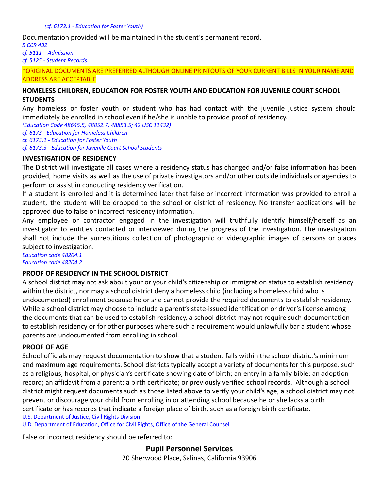#### *(cf. 6173.1 - Education for Foster Youth)*

Documentation provided will be maintained in the student's permanent record.

*5 CCR 432 cf. 5111 – Admission cf. 5125 - Student Records*

\*ORIGINAL DOCUMENTS ARE PREFERRED ALTHOUGH ONLINE PRINTOUTS OF YOUR CURRENT BILLS IN YOUR NAME AND ADDRESS ARE ACCEPTABLE

### **HOMELESS CHILDREN, EDUCATION FOR FOSTER YOUTH AND EDUCATION FOR JUVENILE COURT SCHOOL STUDENTS**

Any homeless or foster youth or student who has had contact with the juvenile justice system should immediately be enrolled in school even if he/she is unable to provide proof of residency.

*(Education Code 48645.5, 48852.7, 48853.5; 42 USC 11432)*

*cf. 6173 - Education for Homeless Children*

*cf. 6173.1 - Education for Foster Youth*

*cf. 6173.3 - Education for Juvenile Court School Students*

### **INVESTIGATION OF RESIDENCY**

The District will investigate all cases where a residency status has changed and/or false information has been provided, home visits as well as the use of private investigators and/or other outside individuals or agencies to perform or assist in conducting residency verification.

If a student is enrolled and it is determined later that false or incorrect information was provided to enroll a student, the student will be dropped to the school or district of residency. No transfer applications will be approved due to false or incorrect residency information.

Any employee or contractor engaged in the investigation will truthfully identify himself/herself as an investigator to entities contacted or interviewed during the progress of the investigation. The investigation shall not include the surreptitious collection of photographic or videographic images of persons or places subject to investigation.

*Education code 48204.1 Education code 48204.2*

### **PROOF OF RESIDENCY IN THE SCHOOL DISTRICT**

A school district may not ask about your or your child's citizenship or immigration status to establish residency within the district, nor may a school district deny a homeless child (including a homeless child who is undocumented) enrollment because he or she cannot provide the required documents to establish residency. While a school district may choose to include a parent's state-issued identification or driver's license among the documents that can be used to establish residency, a school district may not require such documentation to establish residency or for other purposes where such a requirement would unlawfully bar a student whose parents are undocumented from enrolling in school.

### **PROOF OF AGE**

School officials may request documentation to show that a student falls within the school district's minimum and maximum age requirements. School districts typically accept a variety of documents for this purpose, such as a religious, hospital, or physician's certificate showing date of birth; an entry in a family bible; an adoption record; an affidavit from a parent; a birth certificate; or previously verified school records. Although a school district might request documents such as those listed above to verify your child's age, a school district may not prevent or discourage your child from enrolling in or attending school because he or she lacks a birth certificate or has records that indicate a foreign place of birth, such as a foreign birth certificate.

U.S. Department of Justice, Civil Rights Division

U.D. Department of Education, Office for Civil Rights, Office of the General Counsel

False or incorrect residency should be referred to:

### **Pupil Personnel Services**

20 Sherwood Place, Salinas, California 93906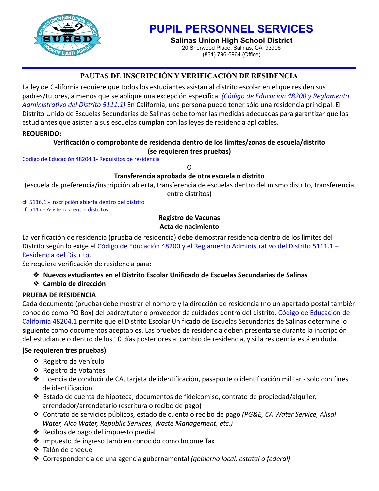

# **PUPIL PERSONNEL SERVICES**

**Salinas Union High School District** 20 Sherwood Place, Salinas, CA 93906

(831) 796-6964 (Office)

# **PAUTAS DE INSCRIPCIÓN Y VERIFICACIÓN DE RESIDENCIA**

La ley de California requiere que todos los estudiantes asistan al distrito escolar en el que residen sus padres/tutores, a menos que se aplique una excepción específica. *(Código de Educación 48200 y Reglamento Administrativo del Distrito 5111.1)* En California, una persona puede tener sólo una residencia principal. El Distrito Unido de Escuelas Secundarias de Salinas debe tomar las medidas adecuadas para garantizar que los estudiantes que asisten a sus escuelas cumplan con las leyes de residencia aplicables.

## **REQUERIDO:**

## **Verificación o comprobante de residencia dentro de los límites/zonas de escuela/distrito (se requieren tres pruebas)**

Código de Educación 48204.1- Requisitos de residencia

 $\Omega$ 

## **Transferencia aprobada de otra escuela o distrito**

(escuela de preferencia/inscripción abierta, transferencia de escuelas dentro del mismo distrito, transferencia

entre distritos)

cf. 5116.1 - Inscripción abierta dentro del distrito cf. 5117 - Asistencia entre distritos

# **Registro de Vacunas Acta de nacimiento**

La verificación de residencia (prueba de residencia) debe demostrar residencia dentro de los límites del Distrito según lo exige el Código de Educación 48200 y el Reglamento Administrativo del Distrito 5111.1 – Residencia del Distrito.

Se requiere verificación de residencia para:

# ❖ **Nuevos estudiantes en el Distrito Escolar Unificado de Escuelas Secundarias de Salinas**

❖ **Cambio de dirección**

# **PRUEBA DE RESIDENCIA**

Cada documento (prueba) debe mostrar el nombre y la dirección de residencia (no un apartado postal también conocido como PO Box) del padre/tutor o proveedor de cuidados dentro del distrito. Código de Educación de California 48204.1 permite que el Distrito Escolar Unificado de Escuelas Secundarias de Salinas determine lo siguiente como documentos aceptables. Las pruebas de residencia deben presentarse durante la inscripción del estudiante o dentro de los 10 días posteriores al cambio de residencia, y si la residencia está en duda.

## **(Se requieren tres pruebas)**

- ❖ Registro de Vehículo
- ❖ Registro de Votantes
- ❖ Licencia de conducir de CA, tarjeta de identificación, pasaporte o identificación militar solo con fines de identificación
- ❖ Estado de cuenta de hipoteca, documentos de fideicomiso, contrato de propiedad/alquiler, arrendador/arrendatario (escritura o recibo de pago)
- ❖ Contrato de servicios públicos, estado de cuenta o recibo de pago *(PG&E, CA Water Service, Alisal Water, Alco Water, Republic Services, Waste Management, etc.)*
- ❖ Recibos de pago del impuesto predial
- ❖ Impuesto de ingreso también conocido como Income Tax
- ❖ Talón de cheque
- ❖ Correspondencia de una agencia gubernamental *(gobierno local, estatal o federal)*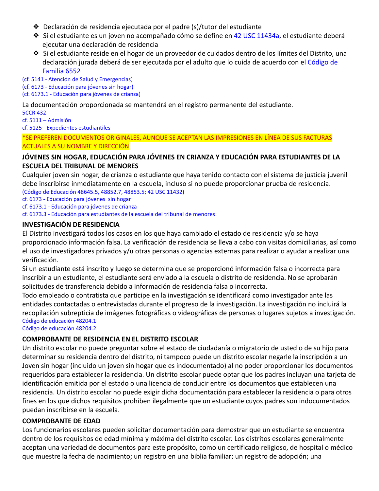- ❖ Declaración de residencia ejecutada por el padre (s)/tutor del estudiante
- ❖ Si el estudiante es un joven no acompañado cómo se define en 42 USC 11434a, el estudiante deberá ejecutar una declaración de residencia
- ❖ Si el estudiante reside en el hogar de un proveedor de cuidados dentro de los límites del Distrito, una declaración jurada deberá de ser ejecutada por el adulto que lo cuida de acuerdo con el Código de Familia 6552

(cf. 5141 - Atención de Salud y Emergencias) (cf. 6173 - Educación para jóvenes sin hogar) (cf. 6173.1 - Educación para jóvenes de crianza)

La documentación proporcionada se mantendrá en el registro permanente del estudiante.

5CCR 432 cf. 5111 – Admisión cf. 5125 - Expedientes estudiantiles

\*SE PREFEREN DOCUMENTOS ORIGINALES, AUNQUE SE ACEPTAN LAS IMPRESIONES EN LÍNEA DE SUS FACTURAS ACTUALES A SU NOMBRE Y DIRECCIÓN

## **JÓVENES SIN HOGAR, EDUCACIÓN PARA JÓVENES EN CRIANZA Y EDUCACIÓN PARA ESTUDIANTES DE LA ESCUELA DEL TRIBUNAL DE MENORES**

Cualquier joven sin hogar, de crianza o estudiante que haya tenido contacto con el sistema de justicia juvenil debe inscribirse inmediatamente en la escuela, incluso si no puede proporcionar prueba de residencia. (Código de Educación 48645.5, 48852.7, 48853.5; 42 USC 11432)

cf. 6173 - Educación para jóvenes sin hogar

cf. 6173.1 - Educación para jóvenes de crianza

cf. 6173.3 - Educación para estudiantes de la escuela del tribunal de menores

## **INVESTIGACIÓN DE RESIDENCIA**

El Distrito investigará todos los casos en los que haya cambiado el estado de residencia y/o se haya proporcionado información falsa. La verificación de residencia se lleva a cabo con visitas domiciliarias, así como el uso de investigadores privados y/u otras personas o agencias externas para realizar o ayudar a realizar una verificación.

Si un estudiante está inscrito y luego se determina que se proporcionó información falsa o incorrecta para inscribir a un estudiante, el estudiante será enviado a la escuela o distrito de residencia. No se aprobarán solicitudes de transferencia debido a información de residencia falsa o incorrecta.

Todo empleado o contratista que participe en la investigación se identificará como investigador ante las entidades contactadas o entrevistadas durante el progreso de la investigación. La investigación no incluirá la recopilación subrepticia de imágenes fotográficas o videográficas de personas o lugares sujetos a investigación. Código de educación 48204.1

Código de educación 48204.2

# **COMPROBANTE DE RESIDENCIA EN EL DISTRITO ESCOLAR**

Un distrito escolar no puede preguntar sobre el estado de ciudadanía o migratorio de usted o de su hijo para determinar su residencia dentro del distrito, ni tampoco puede un distrito escolar negarle la inscripción a un Joven sin hogar (incluido un joven sin hogar que es indocumentado) al no poder proporcionar los documentos requeridos para establecer la residencia. Un distrito escolar puede optar que los padres incluyan una tarjeta de identificación emitida por el estado o una licencia de conducir entre los documentos que establecen una residencia. Un distrito escolar no puede exigir dicha documentación para establecer la residencia o para otros fines en los que dichos requisitos prohíben ilegalmente que un estudiante cuyos padres son indocumentados puedan inscribirse en la escuela.

### **COMPROBANTE DE EDAD**

Los funcionarios escolares pueden solicitar documentación para demostrar que un estudiante se encuentra dentro de los requisitos de edad mínima y máxima del distrito escolar. Los distritos escolares generalmente aceptan una variedad de documentos para este propósito, como un certificado religioso, de hospital o médico que muestre la fecha de nacimiento; un registro en una biblia familiar; un registro de adopción; una